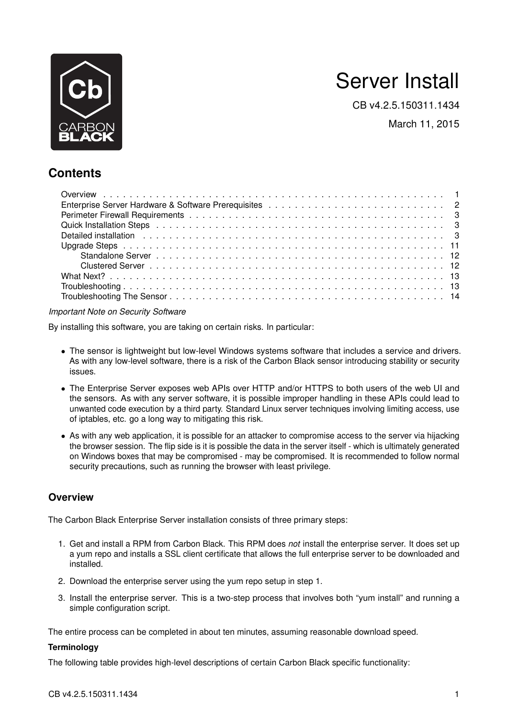

# Server Install

CB v4.2.5.150311.1434

March 11, 2015

# **Contents**

*Important Note on Security Software*

By installing this software, you are taking on certain risks. In particular:

- The sensor is lightweight but low-level Windows systems software that includes a service and drivers. As with any low-level software, there is a risk of the Carbon Black sensor introducing stability or security issues.
- The Enterprise Server exposes web APIs over HTTP and/or HTTPS to both users of the web UI and the sensors. As with any server software, it is possible improper handling in these APIs could lead to unwanted code execution by a third party. Standard Linux server techniques involving limiting access, use of iptables, etc. go a long way to mitigating this risk.
- As with any web application, it is possible for an attacker to compromise access to the server via hijacking the browser session. The flip side is it is possible the data in the server itself - which is ultimately generated on Windows boxes that may be compromised - may be compromised. It is recommended to follow normal security precautions, such as running the browser with least privilege.

# <span id="page-0-0"></span>**Overview**

The Carbon Black Enterprise Server installation consists of three primary steps:

- 1. Get and install a RPM from Carbon Black. This RPM does *not* install the enterprise server. It does set up a yum repo and installs a SSL client certificate that allows the full enterprise server to be downloaded and installed.
- 2. Download the enterprise server using the yum repo setup in step 1.
- 3. Install the enterprise server. This is a two-step process that involves both "yum install" and running a simple configuration script.

The entire process can be completed in about ten minutes, assuming reasonable download speed.

# **Terminology**

The following table provides high-level descriptions of certain Carbon Black specific functionality: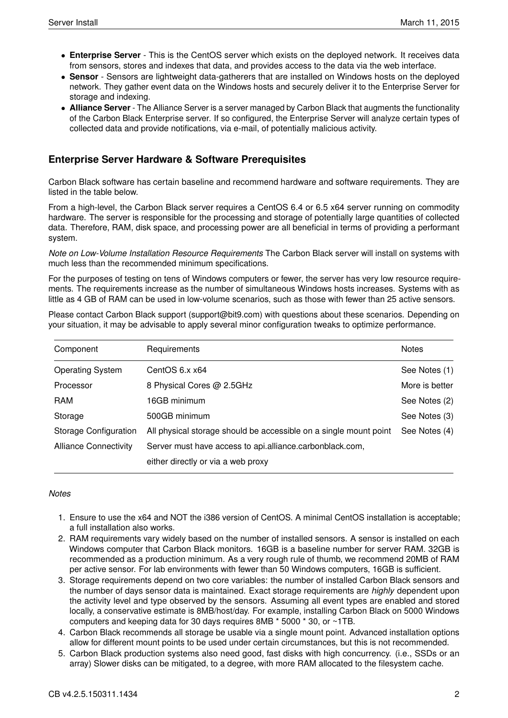- **Enterprise Server** This is the CentOS server which exists on the deployed network. It receives data from sensors, stores and indexes that data, and provides access to the data via the web interface.
- **Sensor** Sensors are lightweight data-gatherers that are installed on Windows hosts on the deployed network. They gather event data on the Windows hosts and securely deliver it to the Enterprise Server for storage and indexing.
- **Alliance Server** The Alliance Server is a server managed by Carbon Black that augments the functionality of the Carbon Black Enterprise server. If so configured, the Enterprise Server will analyze certain types of collected data and provide notifications, via e-mail, of potentially malicious activity.

# <span id="page-1-0"></span>**Enterprise Server Hardware & Software Prerequisites**

Carbon Black software has certain baseline and recommend hardware and software requirements. They are listed in the table below.

From a high-level, the Carbon Black server requires a CentOS 6.4 or 6.5 x64 server running on commodity hardware. The server is responsible for the processing and storage of potentially large quantities of collected data. Therefore, RAM, disk space, and processing power are all beneficial in terms of providing a performant system.

*Note on Low-Volume Installation Resource Requirements* The Carbon Black server will install on systems with much less than the recommended minimum specifications.

For the purposes of testing on tens of Windows computers or fewer, the server has very low resource requirements. The requirements increase as the number of simultaneous Windows hosts increases. Systems with as little as 4 GB of RAM can be used in low-volume scenarios, such as those with fewer than 25 active sensors.

Please contact Carbon Black support (support@bit9.com) with questions about these scenarios. Depending on your situation, it may be advisable to apply several minor configuration tweaks to optimize performance.

| Component                    | Requirements                                                      | <b>Notes</b>   |
|------------------------------|-------------------------------------------------------------------|----------------|
| <b>Operating System</b>      | CentOS $6.x x64$                                                  | See Notes (1)  |
| Processor                    | 8 Physical Cores @ 2.5GHz                                         | More is better |
| <b>RAM</b>                   | 16GB minimum                                                      | See Notes (2)  |
| Storage                      | 500GB minimum                                                     | See Notes (3)  |
| Storage Configuration        | All physical storage should be accessible on a single mount point | See Notes (4)  |
| <b>Alliance Connectivity</b> | Server must have access to api.alliance.carbonblack.com,          |                |
|                              | either directly or via a web proxy                                |                |

### *Notes*

- 1. Ensure to use the x64 and NOT the i386 version of CentOS. A minimal CentOS installation is acceptable; a full installation also works.
- 2. RAM requirements vary widely based on the number of installed sensors. A sensor is installed on each Windows computer that Carbon Black monitors. 16GB is a baseline number for server RAM. 32GB is recommended as a production minimum. As a very rough rule of thumb, we recommend 20MB of RAM per active sensor. For lab environments with fewer than 50 Windows computers, 16GB is sufficient.
- 3. Storage requirements depend on two core variables: the number of installed Carbon Black sensors and the number of days sensor data is maintained. Exact storage requirements are *highly* dependent upon the activity level and type observed by the sensors. Assuming all event types are enabled and stored locally, a conservative estimate is 8MB/host/day. For example, installing Carbon Black on 5000 Windows computers and keeping data for 30 days requires 8MB \* 5000 \* 30, or ~1TB.
- 4. Carbon Black recommends all storage be usable via a single mount point. Advanced installation options allow for different mount points to be used under certain circumstances, but this is not recommended.
- 5. Carbon Black production systems also need good, fast disks with high concurrency. (i.e., SSDs or an array) Slower disks can be mitigated, to a degree, with more RAM allocated to the filesystem cache.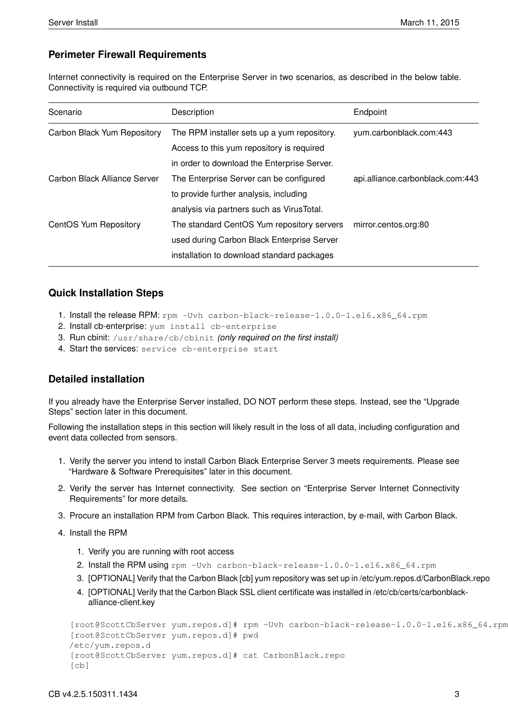# <span id="page-2-0"></span>**Perimeter Firewall Requirements**

Internet connectivity is required on the Enterprise Server in two scenarios, as described in the below table. Connectivity is required via outbound TCP.

| Scenario                     | Description                                 | Endpoint                         |  |
|------------------------------|---------------------------------------------|----------------------------------|--|
| Carbon Black Yum Repository  | The RPM installer sets up a yum repository. | yum.carbonblack.com:443          |  |
|                              | Access to this yum repository is required   |                                  |  |
|                              | in order to download the Enterprise Server. |                                  |  |
| Carbon Black Alliance Server | The Enterprise Server can be configured     | api.alliance.carbonblack.com:443 |  |
|                              | to provide further analysis, including      |                                  |  |
|                              | analysis via partners such as VirusTotal.   |                                  |  |
| CentOS Yum Repository        | The standard CentOS Yum repository servers  | mirror.centos.org:80             |  |
|                              | used during Carbon Black Enterprise Server  |                                  |  |
|                              | installation to download standard packages  |                                  |  |
|                              |                                             |                                  |  |

# <span id="page-2-1"></span>**Quick Installation Steps**

- 1. Install the release RPM: rpm -Uvh carbon-black-release-1.0.0-1.el6.x86\_64.rpm
- 2. Install cb-enterprise: yum install cb-enterprise
- 3. Run cbinit: /usr/share/cb/cbinit *(only required on the first install)*
- 4. Start the services: service cb-enterprise start

# <span id="page-2-2"></span>**Detailed installation**

If you already have the Enterprise Server installed, DO NOT perform these steps. Instead, see the "Upgrade Steps" section later in this document.

Following the installation steps in this section will likely result in the loss of all data, including configuration and event data collected from sensors.

- 1. Verify the server you intend to install Carbon Black Enterprise Server 3 meets requirements. Please see "Hardware & Software Prerequisites" later in this document.
- 2. Verify the server has Internet connectivity. See section on "Enterprise Server Internet Connectivity Requirements" for more details.
- 3. Procure an installation RPM from Carbon Black. This requires interaction, by e-mail, with Carbon Black.
- 4. Install the RPM
	- 1. Verify you are running with root access
	- 2. Install the RPM using rpm -Uvh carbon-black-release-1.0.0-1.el6.x86 64.rpm
	- 3. [OPTIONAL] Verify that the Carbon Black [cb] yum repository was set up in /etc/yum.repos.d/CarbonBlack.repo
	- 4. [OPTIONAL] Verify that the Carbon Black SSL client certificate was installed in /etc/cb/certs/carbonblackalliance-client.key

```
[root@ScottCbServer yum.repos.d]# rpm -Uvh carbon-black-release-1.0.0-1.el6.x86_64.rpm
[root@ScottCbServer yum.repos.d]# pwd
/etc/yum.repos.d
[root@ScottCbServer yum.repos.d]# cat CarbonBlack.repo
[cb]
```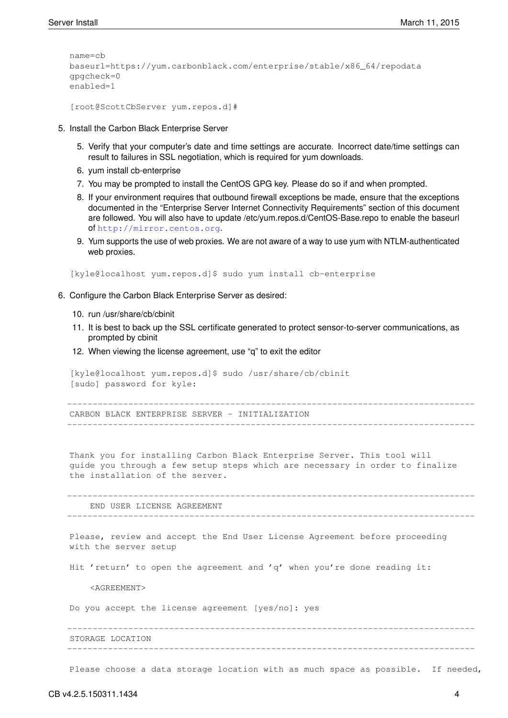```
name=cb
baseurl=https://yum.carbonblack.com/enterprise/stable/x86_64/repodata
gpgcheck=0
enabled=1
```

```
[root@ScottCbServer yum.repos.d]#
```
- 5. Install the Carbon Black Enterprise Server
	- 5. Verify that your computer's date and time settings are accurate. Incorrect date/time settings can result to failures in SSL negotiation, which is required for yum downloads.
	- 6. yum install cb-enterprise
	- 7. You may be prompted to install the CentOS GPG key. Please do so if and when prompted.
	- 8. If your environment requires that outbound firewall exceptions be made, ensure that the exceptions documented in the "Enterprise Server Internet Connectivity Requirements" section of this document are followed. You will also have to update /etc/yum.repos.d/CentOS-Base.repo to enable the baseurl of <http://mirror.centos.org>.
	- 9. Yum supports the use of web proxies. We are not aware of a way to use yum with NTLM-authenticated web proxies.

[kyle@localhost yum.repos.d]\$ sudo yum install cb-enterprise

- 6. Configure the Carbon Black Enterprise Server as desired:
	- 10. run /usr/share/cb/cbinit
	- 11. It is best to back up the SSL certificate generated to protect sensor-to-server communications, as prompted by cbinit
	- 12. When viewing the license agreement, use "q" to exit the editor

[kyle@localhost yum.repos.d]\$ sudo /usr/share/cb/cbinit [sudo] password for kyle:

-------------------------------------------------------------------------------- CARBON BLACK ENTERPRISE SERVER - INITIALIZATION --------------------------------------------------------------------------------

Thank you for installing Carbon Black Enterprise Server. This tool will guide you through a few setup steps which are necessary in order to finalize the installation of the server.

-------------------------------------------------------------------------------- END USER LICENSE AGREEMENT --------------------------------------------------------------------------------

Please, review and accept the End User License Agreement before proceeding with the server setup

Hit 'return' to open the agreement and 'q' when you're done reading it:

<AGREEMENT>

Do you accept the license agreement [yes/no]: yes

-------------------------------------------------------------------------------- STORAGE LOCATION --------------------------------------------------------------------------------

Please choose a data storage location with as much space as possible. If needed,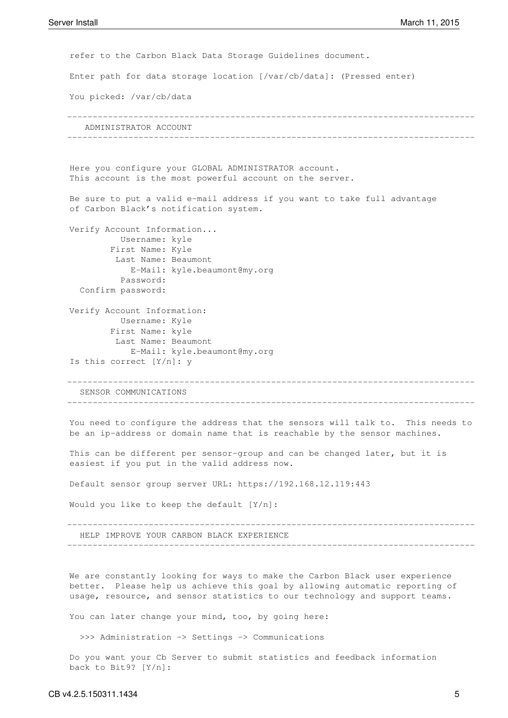refer to the Carbon Black Data Storage Guidelines document. Enter path for data storage location [/var/cb/data]: (Pressed enter) You picked: /var/cb/data -------------------------------------------------------------------------------- ADMINISTRATOR ACCOUNT -------------------------------------------------------------------------------- Here you configure your GLOBAL ADMINISTRATOR account. This account is the most powerful account on the server. Be sure to put a valid e-mail address if you want to take full advantage of Carbon Black's notification system. Verify Account Information... Username: kyle First Name: Kyle Last Name: Beaumont E-Mail: kyle.beaumont@my.org Password: Confirm password: Verify Account Information: Username: Kyle First Name: kyle Last Name: Beaumont E-Mail: kyle.beaumont@my.org Is this correct [Y/n]: y -------------------------------------------------------------------------------- SENSOR COMMUNICATIONS -------------------------------------------------------------------------------- You need to configure the address that the sensors will talk to. This needs to be an ip-address or domain name that is reachable by the sensor machines. This can be different per sensor-group and can be changed later, but it is easiest if you put in the valid address now. Default sensor group server URL: https://192.168.12.119:443 Would you like to keep the default [Y/n]: -------------------------------------------------------------------------------- HELP IMPROVE YOUR CARBON BLACK EXPERIENCE --------------------------------------------------------------------------------

We are constantly looking for ways to make the Carbon Black user experience better. Please help us achieve this goal by allowing automatic reporting of usage, resource, and sensor statistics to our technology and support teams.

You can later change your mind, too, by going here:

>>> Administration -> Settings -> Communications

Do you want your Cb Server to submit statistics and feedback information back to Bit9? [Y/n]: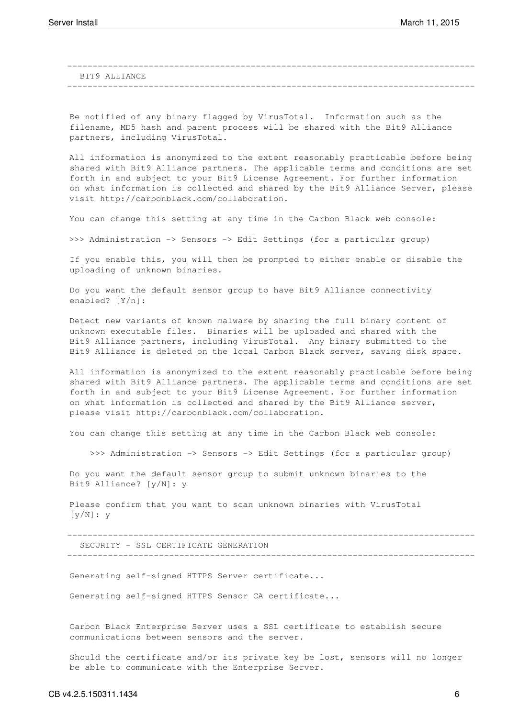-------------------------------------------------------------------------------- BIT9 ALLIANCE --------------------------------------------------------------------------------

Be notified of any binary flagged by VirusTotal. Information such as the filename, MD5 hash and parent process will be shared with the Bit9 Alliance partners, including VirusTotal.

All information is anonymized to the extent reasonably practicable before being shared with Bit9 Alliance partners. The applicable terms and conditions are set forth in and subject to your Bit9 License Agreement. For further information on what information is collected and shared by the Bit9 Alliance Server, please visit http://carbonblack.com/collaboration.

You can change this setting at any time in the Carbon Black web console:

>>> Administration -> Sensors -> Edit Settings (for a particular group)

If you enable this, you will then be prompted to either enable or disable the uploading of unknown binaries.

Do you want the default sensor group to have Bit9 Alliance connectivity enabled? [Y/n]:

Detect new variants of known malware by sharing the full binary content of unknown executable files. Binaries will be uploaded and shared with the Bit9 Alliance partners, including VirusTotal. Any binary submitted to the Bit9 Alliance is deleted on the local Carbon Black server, saving disk space.

All information is anonymized to the extent reasonably practicable before being shared with Bit9 Alliance partners. The applicable terms and conditions are set forth in and subject to your Bit9 License Agreement. For further information on what information is collected and shared by the Bit9 Alliance server, please visit http://carbonblack.com/collaboration.

You can change this setting at any time in the Carbon Black web console:

>>> Administration -> Sensors -> Edit Settings (for a particular group)

Do you want the default sensor group to submit unknown binaries to the Bit9 Alliance? [y/N]: y

Please confirm that you want to scan unknown binaries with VirusTotal [y/N]: y

SECURITY - SSL CERTIFICATE GENERATION

--------------------------------------------------------------------------------

--------------------------------------------------------------------------------

Generating self-signed HTTPS Server certificate...

Generating self-signed HTTPS Sensor CA certificate...

Carbon Black Enterprise Server uses a SSL certificate to establish secure communications between sensors and the server.

Should the certificate and/or its private key be lost, sensors will no longer be able to communicate with the Enterprise Server.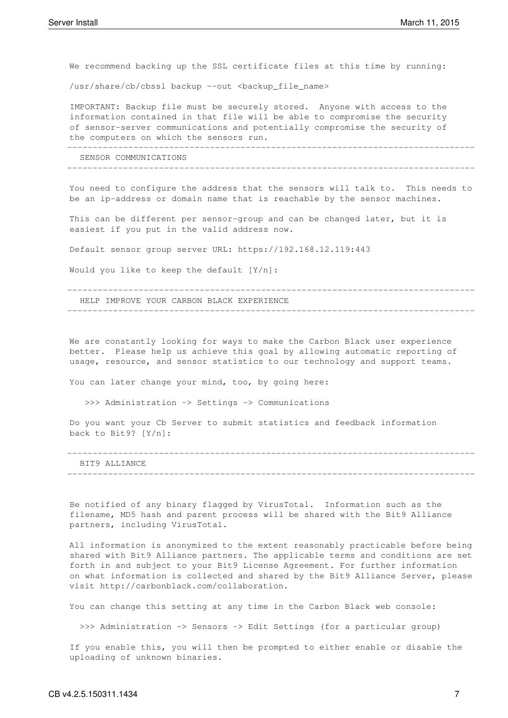We recommend backing up the SSL certificate files at this time by running:

/usr/share/cb/cbssl backup --out <backup\_file\_name>

IMPORTANT: Backup file must be securely stored. Anyone with access to the information contained in that file will be able to compromise the security of sensor-server communications and potentially compromise the security of the computers on which the sensors run.

SENSOR COMMUNICATIONS

--------------------------------------------------------------------------------

--------------------------------------------------------------------------------

You need to configure the address that the sensors will talk to. This needs to be an ip-address or domain name that is reachable by the sensor machines.

This can be different per sensor-group and can be changed later, but it is easiest if you put in the valid address now.

Default sensor group server URL: https://192.168.12.119:443

Would you like to keep the default [Y/n]:

--------------------------------------------------------------------------------

--------------------------------------------------------------------------------

HELP IMPROVE YOUR CARBON BLACK EXPERIENCE

We are constantly looking for ways to make the Carbon Black user experience better. Please help us achieve this goal by allowing automatic reporting of usage, resource, and sensor statistics to our technology and support teams.

You can later change your mind, too, by going here:

>>> Administration -> Settings -> Communications

Do you want your Cb Server to submit statistics and feedback information back to Bit9? [Y/n]:

| BIT9 ALLIANCE |  |  |  |
|---------------|--|--|--|
|               |  |  |  |

Be notified of any binary flagged by VirusTotal. Information such as the filename, MD5 hash and parent process will be shared with the Bit9 Alliance partners, including VirusTotal.

All information is anonymized to the extent reasonably practicable before being shared with Bit9 Alliance partners. The applicable terms and conditions are set forth in and subject to your Bit9 License Agreement. For further information on what information is collected and shared by the Bit9 Alliance Server, please visit http://carbonblack.com/collaboration.

You can change this setting at any time in the Carbon Black web console:

>>> Administration -> Sensors -> Edit Settings (for a particular group)

If you enable this, you will then be prompted to either enable or disable the uploading of unknown binaries.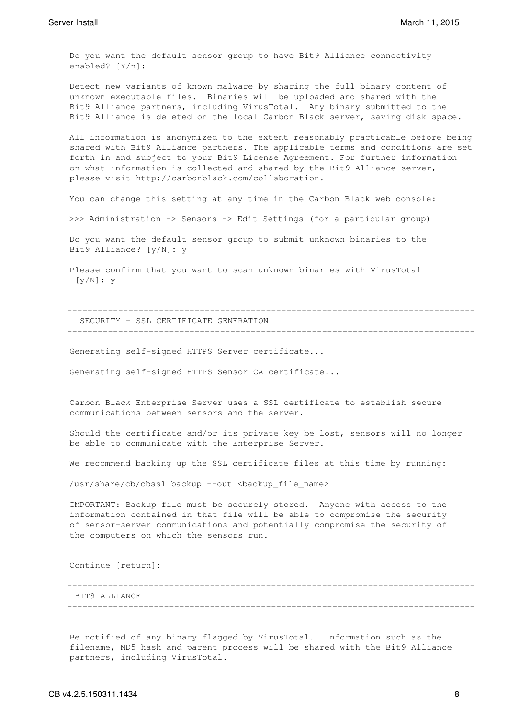Do you want the default sensor group to have Bit9 Alliance connectivity enabled? [Y/n]:

Detect new variants of known malware by sharing the full binary content of unknown executable files. Binaries will be uploaded and shared with the Bit9 Alliance partners, including VirusTotal. Any binary submitted to the Bit9 Alliance is deleted on the local Carbon Black server, saving disk space.

All information is anonymized to the extent reasonably practicable before being shared with Bit9 Alliance partners. The applicable terms and conditions are set forth in and subject to your Bit9 License Agreement. For further information on what information is collected and shared by the Bit9 Alliance server, please visit http://carbonblack.com/collaboration.

You can change this setting at any time in the Carbon Black web console:

>>> Administration -> Sensors -> Edit Settings (for a particular group)

Do you want the default sensor group to submit unknown binaries to the Bit9 Alliance? [y/N]: y

Please confirm that you want to scan unknown binaries with VirusTotal [y/N]: y

-------------------------------------------------------------------------------- SECURITY - SSL CERTIFICATE GENERATION

--------------------------------------------------------------------------------

Generating self-signed HTTPS Server certificate...

Generating self-signed HTTPS Sensor CA certificate...

Carbon Black Enterprise Server uses a SSL certificate to establish secure communications between sensors and the server.

Should the certificate and/or its private key be lost, sensors will no longer be able to communicate with the Enterprise Server.

We recommend backing up the SSL certificate files at this time by running:

/usr/share/cb/cbssl backup --out <backup\_file\_name>

IMPORTANT: Backup file must be securely stored. Anyone with access to the information contained in that file will be able to compromise the security of sensor-server communications and potentially compromise the security of the computers on which the sensors run.

Continue [return]:

#### BIT9 ALLIANCE

Be notified of any binary flagged by VirusTotal. Information such as the filename, MD5 hash and parent process will be shared with the Bit9 Alliance partners, including VirusTotal.

--------------------------------------------------------------------------------

--------------------------------------------------------------------------------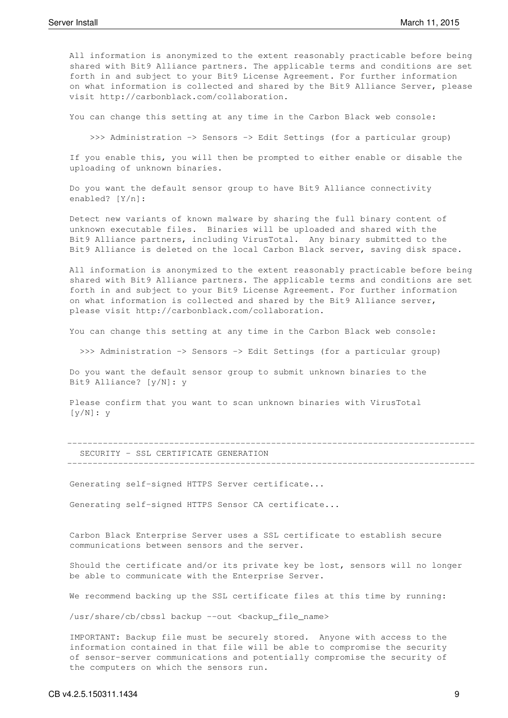All information is anonymized to the extent reasonably practicable before being shared with Bit9 Alliance partners. The applicable terms and conditions are set forth in and subject to your Bit9 License Agreement. For further information on what information is collected and shared by the Bit9 Alliance Server, please visit http://carbonblack.com/collaboration.

You can change this setting at any time in the Carbon Black web console:

>>> Administration -> Sensors -> Edit Settings (for a particular group)

If you enable this, you will then be prompted to either enable or disable the uploading of unknown binaries.

Do you want the default sensor group to have Bit9 Alliance connectivity enabled? [Y/n]:

Detect new variants of known malware by sharing the full binary content of unknown executable files. Binaries will be uploaded and shared with the Bit9 Alliance partners, including VirusTotal. Any binary submitted to the Bit9 Alliance is deleted on the local Carbon Black server, saving disk space.

All information is anonymized to the extent reasonably practicable before being shared with Bit9 Alliance partners. The applicable terms and conditions are set forth in and subject to your Bit9 License Agreement. For further information on what information is collected and shared by the Bit9 Alliance server, please visit http://carbonblack.com/collaboration.

You can change this setting at any time in the Carbon Black web console:

>>> Administration -> Sensors -> Edit Settings (for a particular group)

Do you want the default sensor group to submit unknown binaries to the Bit9 Alliance? [y/N]: y

Please confirm that you want to scan unknown binaries with VirusTotal [y/N]: y

|  |  | SECURITY - SSL CERTIFICATE GENERATION |  |
|--|--|---------------------------------------|--|
|  |  |                                       |  |

Generating self-signed HTTPS Server certificate...

Generating self-signed HTTPS Sensor CA certificate...

Carbon Black Enterprise Server uses a SSL certificate to establish secure communications between sensors and the server.

Should the certificate and/or its private key be lost, sensors will no longer be able to communicate with the Enterprise Server.

We recommend backing up the SSL certificate files at this time by running:

/usr/share/cb/cbssl backup --out <br/>backup file name>

IMPORTANT: Backup file must be securely stored. Anyone with access to the information contained in that file will be able to compromise the security of sensor-server communications and potentially compromise the security of the computers on which the sensors run.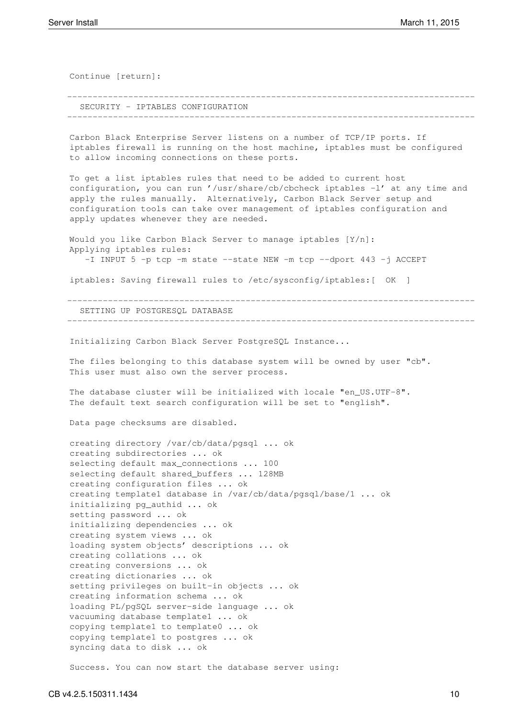Continue [return]: -------------------------------------------------------------------------------- SECURITY - IPTABLES CONFIGURATION -------------------------------------------------------------------------------- Carbon Black Enterprise Server listens on a number of TCP/IP ports. If iptables firewall is running on the host machine, iptables must be configured to allow incoming connections on these ports. To get a list iptables rules that need to be added to current host configuration, you can run '/usr/share/cb/cbcheck iptables -l' at any time and apply the rules manually. Alternatively, Carbon Black Server setup and configuration tools can take over management of iptables configuration and apply updates whenever they are needed. Would you like Carbon Black Server to manage iptables [Y/n]: Applying iptables rules: -I INPUT 5 -p tcp -m state --state NEW -m tcp --dport 443 -j ACCEPT iptables: Saving firewall rules to /etc/sysconfig/iptables:[ OK ] -------------------------------------------------------------------------------- SETTING UP POSTGRESQL DATABASE -------------------------------------------------------------------------------- Initializing Carbon Black Server PostgreSQL Instance... The files belonging to this database system will be owned by user "cb". This user must also own the server process. The database cluster will be initialized with locale "en US.UTF-8". The default text search configuration will be set to "english". Data page checksums are disabled. creating directory /var/cb/data/pgsql ... ok creating subdirectories ... ok selecting default max\_connections ... 100 selecting default shared\_buffers ... 128MB creating configuration files ... ok creating template1 database in /var/cb/data/pgsql/base/1 ... ok initializing pg\_authid ... ok setting password ... ok initializing dependencies ... ok creating system views ... ok loading system objects' descriptions ... ok creating collations ... ok creating conversions ... ok creating dictionaries ... ok setting privileges on built-in objects ... ok creating information schema ... ok loading PL/pgSQL server-side language ... ok vacuuming database template1 ... ok copying template1 to template0 ... ok copying template1 to postgres ... ok syncing data to disk ... ok

Success. You can now start the database server using: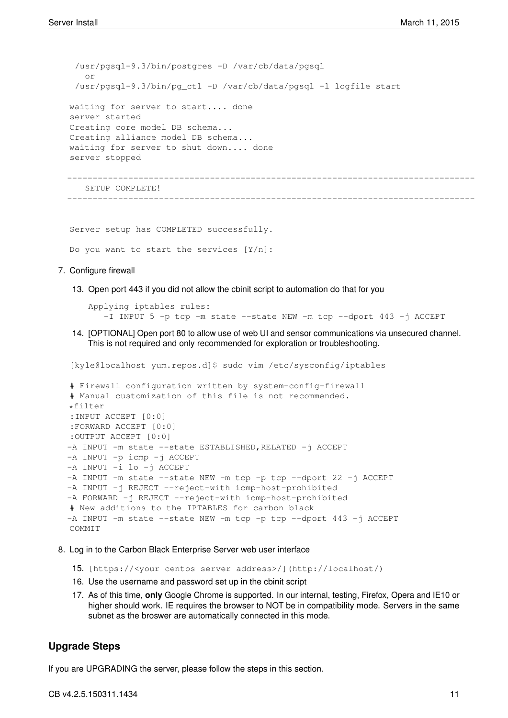/usr/pgsql-9.3/bin/postgres -D /var/cb/data/pgsql or /usr/pgsql-9.3/bin/pg\_ctl -D /var/cb/data/pgsql -l logfile start waiting for server to start.... done server started Creating core model DB schema... Creating alliance model DB schema... waiting for server to shut down.... done server stopped --------------------------------------------------------------------------------

SETUP COMPLETE!

Server setup has COMPLETED successfully.

Do you want to start the services [Y/n]:

- 7. Configure firewall
	- 13. Open port 443 if you did not allow the cbinit script to automation do that for you

Applying iptables rules: -I INPUT 5 -p tcp -m state --state NEW -m tcp --dport 443 -j ACCEPT

--------------------------------------------------------------------------------

14. [OPTIONAL] Open port 80 to allow use of web UI and sensor communications via unsecured channel. This is not required and only recommended for exploration or troubleshooting.

[kyle@localhost yum.repos.d]\$ sudo vim /etc/sysconfig/iptables

```
# Firewall configuration written by system-config-firewall
# Manual customization of this file is not recommended.
*filter
:INPUT ACCEPT [0:0]
:FORWARD ACCEPT [0:0]
:OUTPUT ACCEPT [0:0]
-A INPUT -m state --state ESTABLISHED, RELATED -j ACCEPT
-A INPUT -p icmp -j ACCEPT
-A INPUT -i lo -j ACCEPT
-A INPUT -m state --state NEW -m tcp -p tcp --dport 22 -j ACCEPT
-A INPUT -j REJECT --reject-with icmp-host-prohibited
-A FORWARD -j REJECT --reject-with icmp-host-prohibited
# New additions to the IPTABLES for carbon black
-A INPUT -m state --state NEW -m tcp -p tcp --dport 443 -j ACCEPT
COMMIT
```
- 8. Log in to the Carbon Black Enterprise Server web user interface
	- 15. [https://<your centos server address>/](http://localhost/)
	- 16. Use the username and password set up in the cbinit script
	- 17. As of this time, **only** Google Chrome is supported. In our internal, testing, Firefox, Opera and IE10 or higher should work. IE requires the browser to NOT be in compatibility mode. Servers in the same subnet as the broswer are automatically connected in this mode.

### <span id="page-10-0"></span>**Upgrade Steps**

If you are UPGRADING the server, please follow the steps in this section.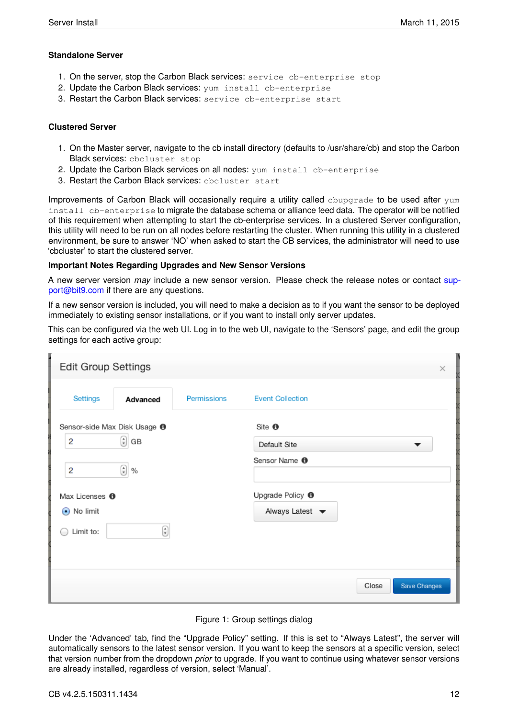### <span id="page-11-0"></span>**Standalone Server**

- 1. On the server, stop the Carbon Black services: service cb-enterprise stop
- 2. Update the Carbon Black services: yum install cb-enterprise
- 3. Restart the Carbon Black services: service cb-enterprise start

### <span id="page-11-1"></span>**Clustered Server**

- 1. On the Master server, navigate to the cb install directory (defaults to /usr/share/cb) and stop the Carbon Black services: cbcluster stop
- 2. Update the Carbon Black services on all nodes: yum install cb-enterprise
- 3. Restart the Carbon Black services: cbcluster start

Improvements of Carbon Black will occasionally require a utility called cbupgrade to be used after yum install cb-enterprise to migrate the database schema or alliance feed data. The operator will be notified of this requirement when attempting to start the cb-enterprise services. In a clustered Server configuration, this utility will need to be run on all nodes before restarting the cluster. When running this utility in a clustered environment, be sure to answer 'NO' when asked to start the CB services, the administrator will need to use 'cbcluster' to start the clustered server.

### **Important Notes Regarding Upgrades and New Sensor Versions**

A new server version *may* include a new sensor version. Please check the release notes or contact [sup](mailto:support@bit9.com)[port@bit9.com](mailto:support@bit9.com) if there are any questions.

If a new sensor version is included, you will need to make a decision as to if you want the sensor to be deployed immediately to existing sensor installations, or if you want to install only server updates.

This can be configured via the web UI. Log in to the web UI, navigate to the 'Sensors' page, and edit the group settings for each active group:

| <b>Edit Group Settings</b>                                    |             |                                                                    | ×                     |
|---------------------------------------------------------------|-------------|--------------------------------------------------------------------|-----------------------|
| Settings<br>Advanced                                          | Permissions | <b>Event Collection</b>                                            |                       |
| Sensor-side Max Disk Usage <sup>6</sup><br>$\bigcirc$ GB<br>2 |             | Site <sup>O</sup><br>Default Site                                  |                       |
| $\bigodot$ %<br>$\overline{c}$                                |             | Sensor Name <sup>O</sup>                                           |                       |
| Max Licenses <sup>®</sup><br>⊙ No limit                       |             | Upgrade Policy <sup>®</sup><br>Always Latest $\blacktriangleright$ |                       |
| Limit to:<br>.<br>.                                           | €           |                                                                    |                       |
|                                                               |             |                                                                    | Close<br>Save Changes |



Under the 'Advanced' tab, find the "Upgrade Policy" setting. If this is set to "Always Latest", the server will automatically sensors to the latest sensor version. If you want to keep the sensors at a specific version, select that version number from the dropdown *prior* to upgrade. If you want to continue using whatever sensor versions are already installed, regardless of version, select 'Manual'.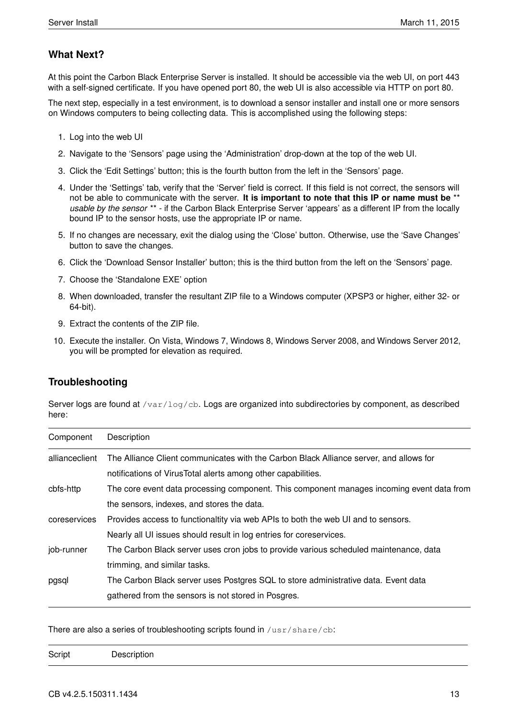# <span id="page-12-0"></span>**What Next?**

At this point the Carbon Black Enterprise Server is installed. It should be accessible via the web UI, on port 443 with a self-signed certificate. If you have opened port 80, the web UI is also accessible via HTTP on port 80.

The next step, especially in a test environment, is to download a sensor installer and install one or more sensors on Windows computers to being collecting data. This is accomplished using the following steps:

- 1. Log into the web UI
- 2. Navigate to the 'Sensors' page using the 'Administration' drop-down at the top of the web UI.
- 3. Click the 'Edit Settings' button; this is the fourth button from the left in the 'Sensors' page.
- 4. Under the 'Settings' tab, verify that the 'Server' field is correct. If this field is not correct, the sensors will not be able to communicate with the server. **It is important to note that this IP or name must be** \*\* *usable by the sensor* \*\* - if the Carbon Black Enterprise Server 'appears' as a different IP from the locally bound IP to the sensor hosts, use the appropriate IP or name.
- 5. If no changes are necessary, exit the dialog using the 'Close' button. Otherwise, use the 'Save Changes' button to save the changes.
- 6. Click the 'Download Sensor Installer' button; this is the third button from the left on the 'Sensors' page.
- 7. Choose the 'Standalone EXE' option
- 8. When downloaded, transfer the resultant ZIP file to a Windows computer (XPSP3 or higher, either 32- or 64-bit).
- 9. Extract the contents of the ZIP file.
- 10. Execute the installer. On Vista, Windows 7, Windows 8, Windows Server 2008, and Windows Server 2012, you will be prompted for elevation as required.

# <span id="page-12-1"></span>**Troubleshooting**

Server logs are found at /var/log/cb. Logs are organized into subdirectories by component, as described here:

| Component      | Description                                                                               |
|----------------|-------------------------------------------------------------------------------------------|
| allianceclient | The Alliance Client communicates with the Carbon Black Alliance server, and allows for    |
|                | notifications of VirusTotal alerts among other capabilities.                              |
| cbfs-http      | The core event data processing component. This component manages incoming event data from |
|                | the sensors, indexes, and stores the data.                                                |
| coreservices   | Provides access to functionaltity via web APIs to both the web UI and to sensors.         |
|                | Nearly all UI issues should result in log entries for coreservices.                       |
| job-runner     | The Carbon Black server uses cron jobs to provide various scheduled maintenance, data     |
|                | trimming, and similar tasks.                                                              |
| pgsql          | The Carbon Black server uses Postgres SQL to store administrative data. Event data        |
|                | gathered from the sensors is not stored in Posgres.                                       |

There are also a series of troubleshooting scripts found in /usr/share/cb:

|--|--|--|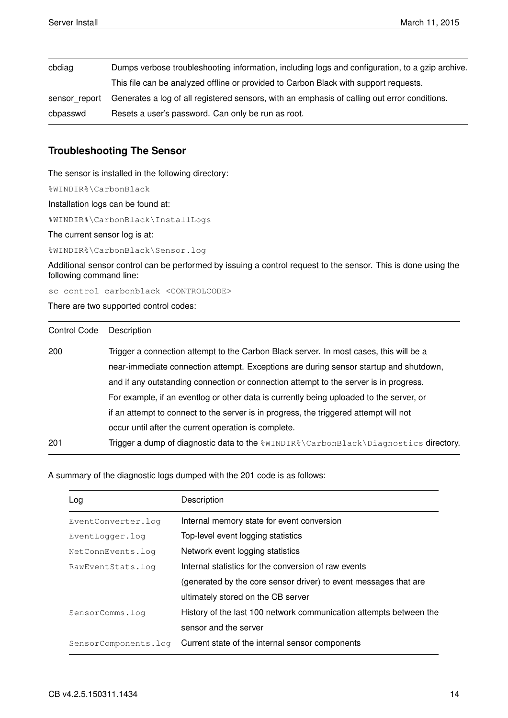| cbdiag        | Dumps verbose troubleshooting information, including logs and configuration, to a gzip archive. |
|---------------|-------------------------------------------------------------------------------------------------|
|               | This file can be analyzed offline or provided to Carbon Black with support requests.            |
| sensor report | Generates a log of all registered sensors, with an emphasis of calling out error conditions.    |
| cbpasswd      | Resets a user's password. Can only be run as root.                                              |

# <span id="page-13-0"></span>**Troubleshooting The Sensor**

The sensor is installed in the following directory:

%WINDIR%\CarbonBlack

Installation logs can be found at:

%WINDIR%\CarbonBlack\InstallLogs

The current sensor log is at:

%WINDIR%\CarbonBlack\Sensor.log

Additional sensor control can be performed by issuing a control request to the sensor. This is done using the following command line:

sc control carbonblack <CONTROLCODE>

There are two supported control codes:

| <b>Control Code</b> | Description                                                                             |
|---------------------|-----------------------------------------------------------------------------------------|
| 200                 | Trigger a connection attempt to the Carbon Black server. In most cases, this will be a  |
|                     | near-immediate connection attempt. Exceptions are during sensor startup and shutdown,   |
|                     | and if any outstanding connection or connection attempt to the server is in progress.   |
|                     | For example, if an eventlog or other data is currently being uploaded to the server, or |
|                     | if an attempt to connect to the server is in progress, the triggered attempt will not   |
|                     | occur until after the current operation is complete.                                    |
| 201                 | Trigger a dump of diagnostic data to the %WINDIR%\CarbonBlack\Diagnostics directory.    |

A summary of the diagnostic logs dumped with the 201 code is as follows:

| Log                  | Description                                                        |
|----------------------|--------------------------------------------------------------------|
| EventConverter.log   | Internal memory state for event conversion                         |
| EventLogger.log      | Top-level event logging statistics                                 |
| NetConnEvents.log    | Network event logging statistics                                   |
| RawEventStats.log    | Internal statistics for the conversion of raw events               |
|                      | (generated by the core sensor driver) to event messages that are   |
|                      | ultimately stored on the CB server                                 |
| SensorComms.log      | History of the last 100 network communication attempts between the |
|                      | sensor and the server                                              |
| SensorComponents.log | Current state of the internal sensor components                    |